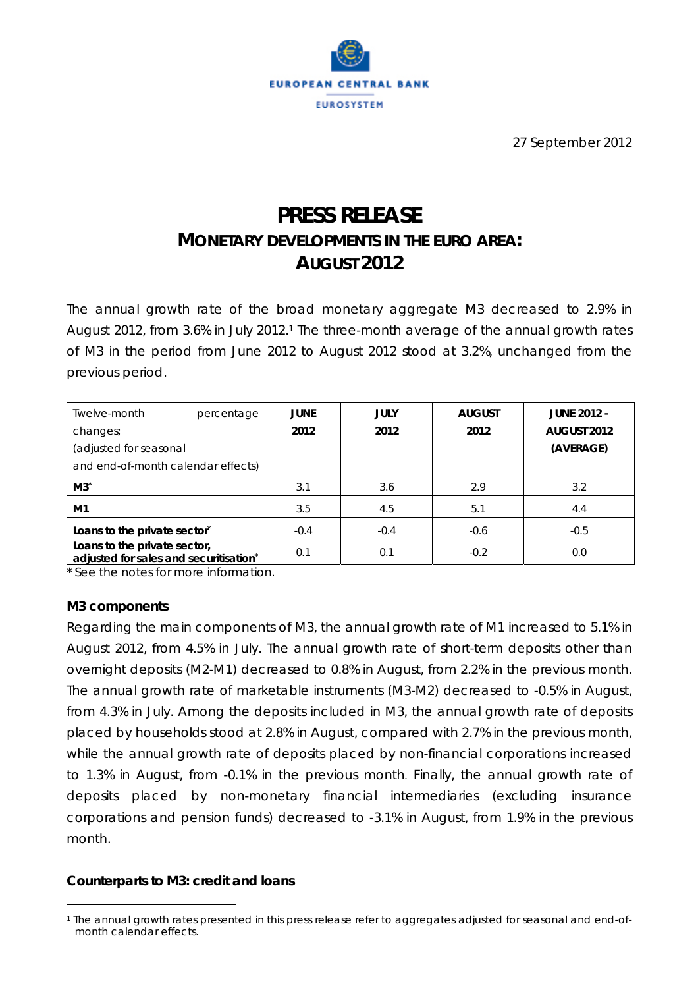

27 September 2012

# **PRESS RELEASE MONETARY DEVELOPMENTS IN THE EURO AREA: AUGUST 2012**

The annual growth rate of the broad monetary aggregate M3 decreased to 2.9% in August 2012, from 3.6% in July 2012.1 The three-month average of the annual growth rates of M3 in the period from June 2012 to August 2012 stood at 3.2%, unchanged from the previous period.

| Twelve-month<br>percentage                                             | <b>JUNE</b> | <b>JULY</b> | <b>AUGUST</b> | <b>JUNE 2012 -</b> |
|------------------------------------------------------------------------|-------------|-------------|---------------|--------------------|
| changes;                                                               | 2012        | 2012        | 2012          | AUGUST 2012        |
| (adjusted for seasonal                                                 |             |             |               | (AVERAGE)          |
| and end-of-month calendar effects)                                     |             |             |               |                    |
| $M3^*$                                                                 | 3.1         | 3.6         | 2.9           | 3.2                |
| M1                                                                     | 3.5         | 4.5         | 5.1           | 4.4                |
| Loans to the private sector*                                           | $-0.4$      | $-0.4$      | $-0.6$        | $-0.5$             |
| Loans to the private sector,<br>adjusted for sales and securitisation* | 0.1         | 0.1         | $-0.2$        | 0.0                |

\* See the notes for more information.

#### **M3 components**

 $\overline{a}$ 

Regarding the main components of M3, the annual growth rate of M1 increased to 5.1% in August 2012, from 4.5% in July. The annual growth rate of short-term deposits other than overnight deposits (M2-M1) decreased to 0.8% in August, from 2.2% in the previous month. The annual growth rate of marketable instruments (M3-M2) decreased to -0.5% in August, from 4.3% in July. Among the deposits included in M3, the annual growth rate of deposits placed by households stood at 2.8% in August, compared with 2.7% in the previous month, while the annual growth rate of deposits placed by non-financial corporations increased to 1.3% in August, from -0.1% in the previous month. Finally, the annual growth rate of deposits placed by non-monetary financial intermediaries (excluding insurance corporations and pension funds) decreased to -3.1% in August, from 1.9% in the previous month.

## **Counterparts to M3: credit and loans**

<sup>1</sup> The annual growth rates presented in this press release refer to aggregates adjusted for seasonal and end-ofmonth calendar effects.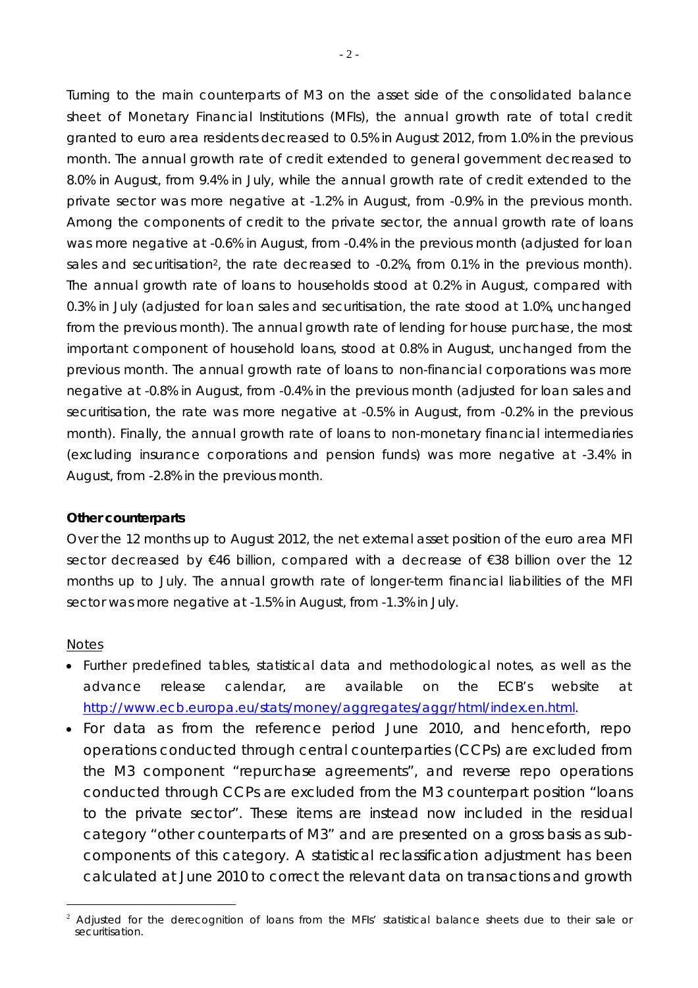Turning to the main counterparts of M3 on the asset side of the consolidated balance sheet of Monetary Financial Institutions (MFIs), the annual growth rate of total credit granted to euro area residents decreased to 0.5% in August 2012, from 1.0% in the previous month. The annual growth rate of credit extended to general government decreased to 8.0% in August, from 9.4% in July, while the annual growth rate of credit extended to the private sector was more negative at -1.2% in August, from -0.9% in the previous month. Among the components of credit to the private sector, the annual growth rate of loans was more negative at -0.6% in August, from -0.4% in the previous month (adjusted for loan sales and securitisation<sup>2</sup>, the rate decreased to -0.2%, from 0.1% in the previous month). The annual growth rate of loans to households stood at 0.2% in August, compared with 0.3% in July (adjusted for loan sales and securitisation, the rate stood at 1.0%, unchanged from the previous month). The annual growth rate of lending for house purchase, the most important component of household loans, stood at 0.8% in August, unchanged from the previous month. The annual growth rate of loans to non-financial corporations was more negative at -0.8% in August, from -0.4% in the previous month (adjusted for loan sales and securitisation, the rate was more negative at -0.5% in August, from -0.2% in the previous month). Finally, the annual growth rate of loans to non-monetary financial intermediaries (excluding insurance corporations and pension funds) was more negative at -3.4% in August, from -2.8% in the previous month.

#### **Other counterparts**

Over the 12 months up to August 2012, the net external asset position of the euro area MFI sector decreased by €46 billion, compared with a decrease of €38 billion over the 12 months up to July. The annual growth rate of longer-term financial liabilities of the MFI sector was more negative at -1.5% in August, from -1.3% in July.

#### *Notes*

 $\overline{a}$ 

- *Further predefined tables, statistical data and methodological notes, as well as the advance release calendar, are available on the ECB's website at http://www.ecb.europa.eu/stats/money/aggregates/aggr/html/index.en.html.*
- *For data as from the reference period June 2010, and henceforth, repo operations conducted through central counterparties (CCPs) are excluded from the M3 component "repurchase agreements", and reverse repo operations conducted through CCPs are excluded from the M3 counterpart position "loans*  to the private sector". These items are instead now included in the residual *category "other counterparts of M3" and are presented on a gross basis as subcomponents of this category. A statistical reclassification adjustment has been calculated at June 2010 to correct the relevant data on transactions and growth*

<sup>2</sup> Adjusted for the derecognition of loans from the MFIs' statistical balance sheets due to their sale or securitisation.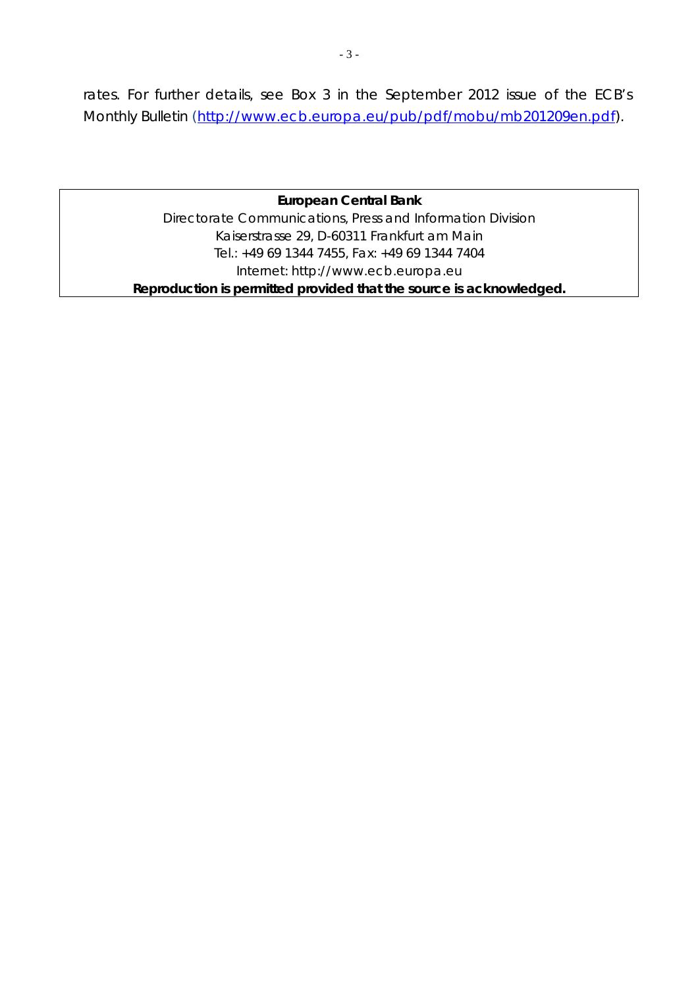*rates. For further details, see Box 3 in the September 2012 issue of the ECB's Monthly Bulletin (http://www.ecb.europa.eu/pub/pdf/mobu/mb201209en.pdf).*

# **European Central Bank**  Directorate Communications, Press and Information Division Kaiserstrasse 29, D-60311 Frankfurt am Main Tel.: +49 69 1344 7455, Fax: +49 69 1344 7404 Internet: http://www.ecb.europa.eu **Reproduction is permitted provided that the source is acknowledged.**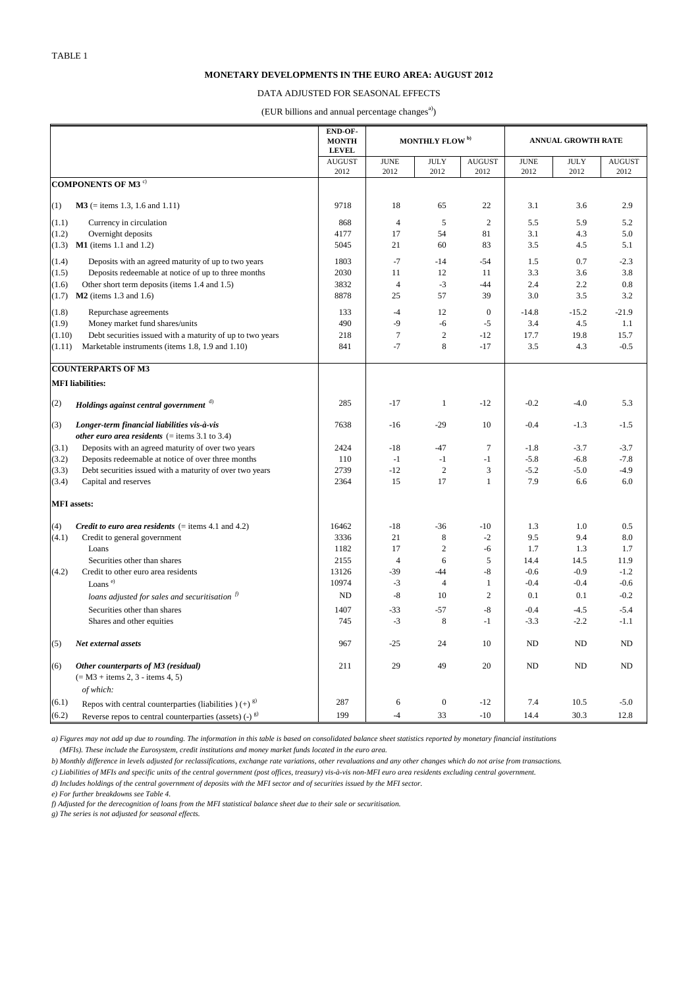|                                                                           | <b>END-OF-</b><br><b>MONTH</b><br><b>LEVEL</b> | MONTHLY FLOW <sup>b)</sup>   |                  |                | <b>ANNUAL GROWTH RATE</b> |                |                |  |
|---------------------------------------------------------------------------|------------------------------------------------|------------------------------|------------------|----------------|---------------------------|----------------|----------------|--|
|                                                                           | <b>AUGUST</b>                                  | $\ensuremath{\mathrm{JUNE}}$ | <b>JULY</b>      | <b>AUGUST</b>  | <b>JUNE</b>               | $\rm JULY$     | <b>AUGUST</b>  |  |
|                                                                           | 2012                                           | 2012                         | 2012             | 2012           | 2012                      | 2012           | 2012           |  |
| COMPONENTS OF M3 $^{\circ}$                                               |                                                |                              |                  |                |                           |                |                |  |
| $M3$ (= items 1.3, 1.6 and 1.11)<br>(1)                                   | 9718                                           | 18                           | 65               | 22             | 3.1                       | 3.6            | 2.9            |  |
| (1.1)<br>Currency in circulation                                          | 868                                            | $\overline{4}$               | $\mathfrak{S}$   | 2              | 5.5                       | 5.9            | 5.2            |  |
| (1.2)<br>Overnight deposits                                               | 4177                                           | 17                           | 54               | 81             | 3.1                       | 4.3            | 5.0            |  |
| $M1$ (items 1.1 and 1.2)<br>(1.3)                                         | 5045                                           | 21                           | 60               | 83             | 3.5                       | 4.5            | 5.1            |  |
| (1.4)<br>Deposits with an agreed maturity of up to two years              | 1803                                           | $-7$                         | $-14$            | $-54$          | 1.5                       | 0.7            | $-2.3$         |  |
| (1.5)<br>Deposits redeemable at notice of up to three months              | 2030                                           | 11                           | 12               | 11             | 3.3                       | 3.6            | 3.8            |  |
| Other short term deposits (items 1.4 and 1.5)<br>(1.6)                    | 3832                                           | $\overline{4}$               | $-3$             | $-44$          | 2.4                       | 2.2            | 0.8            |  |
| $M2$ (items 1.3 and 1.6)<br>(1.7)                                         | 8878                                           | 25                           | 57               | 39             | 3.0                       | 3.5            | 3.2            |  |
|                                                                           | 133                                            |                              | 12               | $\overline{0}$ |                           |                |                |  |
| (1.8)<br>Repurchase agreements<br>(1.9)<br>Money market fund shares/units | 490                                            | $-4$<br>$-9$                 | $-6$             | $-5$           | $-14.8$<br>3.4            | $-15.2$<br>4.5 | $-21.9$<br>1.1 |  |
|                                                                           |                                                |                              |                  |                |                           |                |                |  |
| (1.10)<br>Debt securities issued with a maturity of up to two years       | 218                                            | $\tau$                       | $\sqrt{2}$       | $-12$          | 17.7                      | 19.8           | 15.7           |  |
| Marketable instruments (items 1.8, 1.9 and 1.10)<br>(1.11)                | 841                                            | $-7$                         | $\,8\,$          | $-17$          | 3.5                       | 4.3            | $-0.5$         |  |
| <b>COUNTERPARTS OF M3</b>                                                 |                                                |                              |                  |                |                           |                |                |  |
| <b>MFI</b> liabilities:                                                   |                                                |                              |                  |                |                           |                |                |  |
| (2)<br>Holdings against central government d)                             | 285                                            | $-17$                        | $\mathbf{1}$     | $-12$          | $-0.2$                    | $-4.0$         | 5.3            |  |
| Longer-term financial liabilities vis-à-vis<br>(3)                        | 7638                                           | $-16$                        | $-29$            | 10             | $-0.4$                    | $-1.3$         | $-1.5$         |  |
| <i>other euro area residents</i> (= items $3.1$ to $3.4$ )                |                                                |                              |                  |                |                           |                |                |  |
| Deposits with an agreed maturity of over two years<br>(3.1)               | 2424                                           | $-18$                        | $-47$            | $\overline{7}$ | $-1.8$                    | $-3.7$         | $-3.7$         |  |
| (3.2)<br>Deposits redeemable at notice of over three months               | 110                                            | $-1$                         | $-1$             | $-1$           | $-5.8$                    | $-6.8$         | $-7.8$         |  |
| (3.3)<br>Debt securities issued with a maturity of over two years         | 2739                                           | $-12$                        | $\overline{2}$   | 3              | $-5.2$                    | $-5.0$         | $-4.9$         |  |
| (3.4)<br>Capital and reserves                                             | 2364                                           | 15                           | 17               | $\overline{1}$ | 7.9                       | 6.6            | 6.0            |  |
| <b>MFI</b> assets:                                                        |                                                |                              |                  |                |                           |                |                |  |
| (4)<br><i>Credit to euro area residents</i> $(=$ items 4.1 and 4.2)       | 16462                                          | $-18$                        | $-36$            | $-10$          | 1.3                       | 1.0            | 0.5            |  |
| (4.1)<br>Credit to general government                                     | 3336                                           | 21                           | 8                | $-2$           | 9.5                       | 9.4            | 8.0            |  |
| Loans                                                                     | 1182                                           | 17                           | $\mathfrak{2}$   | $-6$           | 1.7                       | 1.3            | 1.7            |  |
| Securities other than shares                                              | 2155                                           | $\overline{4}$               | 6                | 5              | 14.4                      | 14.5           | 11.9           |  |
| Credit to other euro area residents<br>(4.2)                              | 13126                                          | $-39$                        | $-44$            | $-8$           | $-0.6$                    | $-0.9$         | $-1.2$         |  |
| Loans <sup>e)</sup>                                                       | 10974                                          | $-3$                         | $\overline{4}$   | -1             | $-0.4$                    | $-0.4$         | $-0.6$         |  |
|                                                                           | ND                                             | $-8$                         | 10               | $\overline{2}$ | 0.1                       | 0.1            | $-0.2$         |  |
| loans adjusted for sales and securitisation $f^{(j)}$                     |                                                |                              |                  |                |                           |                |                |  |
| Securities other than shares                                              | 1407                                           | $-33$                        | $-57$            | $-8$           | $-0.4$                    | $-4.5$         | $-5.4$         |  |
| Shares and other equities                                                 | 745                                            | $-3$                         | 8                | $-1$           | $-3.3$                    | $-2.2$         | $-1.1$         |  |
| Net external assets<br>(5)                                                | 967                                            | $-25$                        | 24               | 10             | ND                        | <b>ND</b>      | ND             |  |
| Other counterparts of M3 (residual)<br>(6)                                | 211                                            | 29                           | 49               | 20             | ND                        | ND             | ND             |  |
| $(= M3 + items 2, 3 - items 4, 5)$                                        |                                                |                              |                  |                |                           |                |                |  |
| of which:                                                                 |                                                |                              |                  |                |                           |                |                |  |
| (6.1)<br>Repos with central counterparties (liabilities) $(+)^{g}$        | 287                                            | 6                            | $\boldsymbol{0}$ | $-12$          | 7.4                       | 10.5           | $-5.0$         |  |
| (6.2)<br>Reverse repos to central counterparties (assets) $(-)^{g}$       | 199                                            | $-4$                         | 33               | $-10$          | 14.4                      | 30.3           | 12.8           |  |

*f) Adjusted for the derecognition of loans from the MFI statistical balance sheet due to their sale or securitisation.*

*g) The series is not adjusted for seasonal effects.*

*d) Includes holdings of the central government of deposits with the MFI sector and of securities issued by the MFI sector.*

*e) For further breakdowns see Table 4.*

*a) Figures may not add up due to rounding. The information in this table is based on consolidated balance sheet statistics reported by monetary financial institutions*

 *(MFIs). These include the Eurosystem, credit institutions and money market funds located in the euro area.*

*b) Monthly difference in levels adjusted for reclassifications, exchange rate variations, other revaluations and any other changes which do not arise from transactions.*

*c) Liabilities of MFIs and specific units of the central government (post offices, treasury) vis-à-vis non-MFI euro area residents excluding central government.*

## **MONETARY DEVELOPMENTS IN THE EURO AREA: AUGUST 2012**

#### DATA ADJUSTED FOR SEASONAL EFFECTS

# (EUR billions and annual percentage changes<sup>a)</sup>)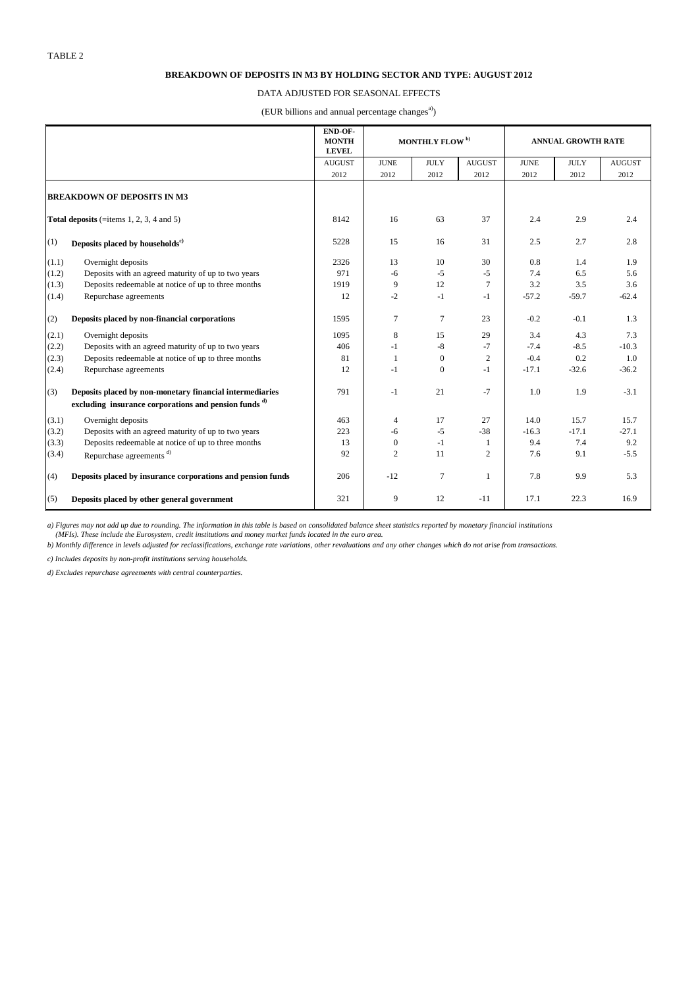|       |                                                                  | END-OF-<br><b>MONTH</b><br><b>LEVEL</b> | <b>MONTHLY FLOW</b> <sup>b)</sup> |                  | <b>ANNUAL GROWTH RATE</b> |             |             |               |
|-------|------------------------------------------------------------------|-----------------------------------------|-----------------------------------|------------------|---------------------------|-------------|-------------|---------------|
|       |                                                                  | <b>AUGUST</b>                           | <b>JUNE</b>                       | $\rm JULY$       | <b>AUGUST</b>             | <b>JUNE</b> | <b>JULY</b> | <b>AUGUST</b> |
|       |                                                                  | 2012                                    | 2012                              | 2012             | 2012                      | 2012        | 2012        | 2012          |
|       | <b>BREAKDOWN OF DEPOSITS IN M3</b>                               |                                         |                                   |                  |                           |             |             |               |
|       | Total deposits (=items $1, 2, 3, 4$ and $5$ )                    | 8142                                    | 16                                | 63               | 37                        | 2.4         | 2.9         | 2.4           |
| (1)   | Deposits placed by households <sup>c)</sup>                      | 5228                                    | 15                                | 16               | 31                        | 2.5         | 2.7         | 2.8           |
| (1.1) | Overnight deposits                                               | 2326                                    | 13                                | 10               | 30                        | 0.8         | 1.4         | 1.9           |
| (1.2) | Deposits with an agreed maturity of up to two years              | 971                                     | $-6$                              | $-5$             | $-5$                      | 7.4         | 6.5         | 5.6           |
| (1.3) | Deposits redeemable at notice of up to three months              | 1919                                    | $\overline{9}$                    | 12               | $\tau$                    | 3.2         | 3.5         | 3.6           |
| (1.4) | Repurchase agreements                                            | 12                                      | $-2$                              | $-1$             | $-1$                      | $-57.2$     | $-59.7$     | $-62.4$       |
| (2)   | Deposits placed by non-financial corporations                    | 1595                                    | $\tau$                            | $\overline{7}$   | 23                        | $-0.2$      | $-0.1$      | 1.3           |
| (2.1) | Overnight deposits                                               | 1095                                    | $\,8\,$                           | 15               | 29                        | 3.4         | 4.3         | 7.3           |
| (2.2) | Deposits with an agreed maturity of up to two years              | 406                                     | $-1$                              | $-8$             | $-7$                      | $-7.4$      | $-8.5$      | $-10.3$       |
| (2.3) | Deposits redeemable at notice of up to three months              | 81                                      | 1                                 | $\mathbf{0}$     | $\overline{2}$            | $-0.4$      | 0.2         | 1.0           |
| (2.4) | Repurchase agreements                                            | 12                                      | $-1$                              | $\boldsymbol{0}$ | $-1$                      | $-17.1$     | $-32.6$     | $-36.2$       |
| (3)   | Deposits placed by non-monetary financial intermediaries         | 791                                     | $-1$                              | 21               | $-7$                      | 1.0         | 1.9         | $-3.1$        |
|       | excluding insurance corporations and pension funds <sup>d)</sup> |                                         |                                   |                  |                           |             |             |               |
| (3.1) | Overnight deposits                                               | 463                                     | $\overline{4}$                    | 17               | 27                        | 14.0        | 15.7        | 15.7          |
| (3.2) | Deposits with an agreed maturity of up to two years              | 223                                     | -6                                | $-5$             | $-38$                     | $-16.3$     | $-17.1$     | $-27.1$       |
| (3.3) | Deposits redeemable at notice of up to three months              | 13                                      | $\boldsymbol{0}$                  | $-1$             | -1                        | 9.4         | 7.4         | 9.2           |
| (3.4) | Repurchase agreements <sup>d)</sup>                              | 92                                      | $\overline{2}$                    | 11               | $\overline{2}$            | 7.6         | 9.1         | $-5.5$        |
| (4)   | Deposits placed by insurance corporations and pension funds      | 206                                     | $-12$                             | 7                | $\mathbf{1}$              | 7.8         | 9.9         | 5.3           |
| (5)   | Deposits placed by other general government                      | 321                                     | 9                                 | 12               | $-11$                     | 17.1        | 22.3        | 16.9          |

#### **BREAKDOWN OF DEPOSITS IN M3 BY HOLDING SECTOR AND TYPE: AUGUST 2012**

## DATA ADJUSTED FOR SEASONAL EFFECTS

(EUR billions and annual percentage changes<sup>a)</sup>)

*a) Figures may not add up due to rounding. The information in this table is based on consolidated balance sheet statistics reported by monetary financial institutions (MFIs). These include the Eurosystem, credit institutions and money market funds located in the euro area.*

*b) Monthly difference in levels adjusted for reclassifications, exchange rate variations, other revaluations and any other changes which do not arise from transactions.*

*c) Includes deposits by non-profit institutions serving households.*

*d) Excludes repurchase agreements with central counterparties.*